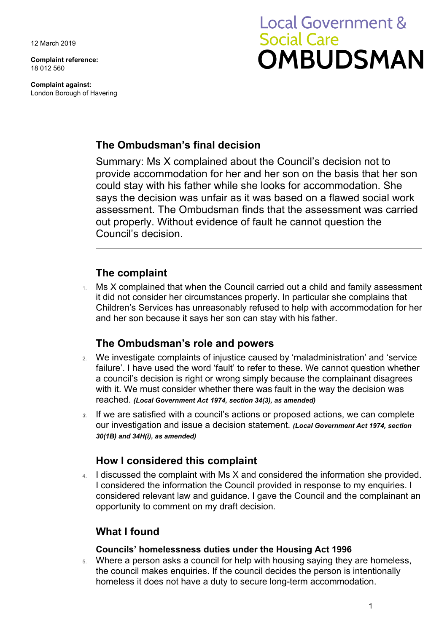12 March 2019

**Complaint reference:**  18 012 560

**Complaint against:**  London Borough of Havering

# **Local Government & Social Care OMBUDSMAN**

## **The Ombudsman's final decision**

Summary: Ms X complained about the Council's decision not to provide accommodation for her and her son on the basis that her son could stay with his father while she looks for accommodation. She says the decision was unfair as it was based on a flawed social work assessment. The Ombudsman finds that the assessment was carried out properly. Without evidence of fault he cannot question the Council's decision.

## **The complaint**

 and her son because it says her son can stay with his father. Ms X complained that when the Council carried out a child and family assessment it did not consider her circumstances properly. In particular she complains that Children's Services has unreasonably refused to help with accommodation for her

## **The Ombudsman's role and powers**

- 2. We investigate complaints of injustice caused by 'maladministration' and 'service failure'. I have used the word 'fault' to refer to these. We cannot question whether a council's decision is right or wrong simply because the complainant disagrees with it. We must consider whether there was fault in the way the decision was reached. *(Local Government Act 1974, section 34(3), as amended)*
- our investigation and issue a decision statement. *(Local Government Act 1974, section 3.* If we are satisfied with a council's actions or proposed actions, we can complete *30(1B) and 34H(i), as amended)*

## **How I considered this complaint**

4. I discussed the complaint with Ms X and considered the information she provided. I considered the information the Council provided in response to my enquiries. I considered relevant law and guidance. I gave the Council and the complainant an opportunity to comment on my draft decision.

## **What I found**

### **Councils' homelessness duties under the Housing Act 1996**

5. Where a person asks a council for help with housing saying they are homeless, the council makes enquiries. If the council decides the person is intentionally homeless it does not have a duty to secure long-term accommodation.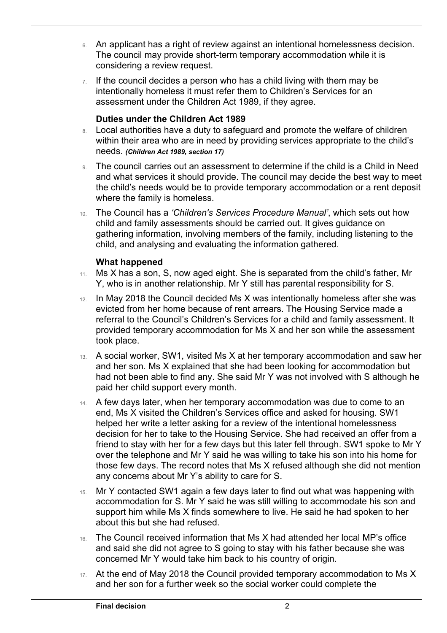- 6. An applicant has a right of review against an intentional homelessness decision. The council may provide short-term temporary accommodation while it is considering a review request.
- $7.$  If the council decides a person who has a child living with them may be intentionally homeless it must refer them to Children's Services for an assessment under the Children Act 1989, if they agree.

#### **Duties under the Children Act 1989**

- 8. Local authorities have a duty to safeguard and promote the welfare of children within their area who are in need by providing services appropriate to the child's needs. *(Children Act 1989, section 17)*
- 9. The council carries out an assessment to determine if the child is a Child in Need and what services it should provide. The council may decide the best way to meet the child's needs would be to provide temporary accommodation or a rent deposit where the family is homeless.
- 10. The Council has a *'Children's Services Procedure Manual'*, which sets out how child and family assessments should be carried out. It gives guidance on gathering information, involving members of the family, including listening to the child, and analysing and evaluating the information gathered.

#### **What happened**

 $\overline{a}$ 

- 11. Ms X has a son, S, now aged eight. She is separated from the child's father, Mr Y, who is in another relationship. Mr Y still has parental responsibility for S.
- 12. In May 2018 the Council decided Ms X was intentionally homeless after she was evicted from her home because of rent arrears. The Housing Service made a referral to the Council's Children's Services for a child and family assessment. It provided temporary accommodation for Ms X and her son while the assessment took place.
- 13. A social worker, SW1, visited Ms X at her temporary accommodation and saw her and her son. Ms X explained that she had been looking for accommodation but had not been able to find any. She said Mr Y was not involved with S although he paid her child support every month.
- decision for her to take to the Housing Service. She had received an offer from a friend to stay with her for a few days but this later fell through. SW1 spoke to Mr Y over the telephone and Mr Y said he was willing to take his son into his home for 14. A few days later, when her temporary accommodation was due to come to an end, Ms X visited the Children's Services office and asked for housing. SW1 helped her write a letter asking for a review of the intentional homelessness those few days. The record notes that Ms X refused although she did not mention any concerns about Mr Y's ability to care for S.
- 15. Mr Y contacted SW1 again a few days later to find out what was happening with accommodation for S. Mr Y said he was still willing to accommodate his son and support him while Ms X finds somewhere to live. He said he had spoken to her about this but she had refused.
- 16. The Council received information that Ms X had attended her local MP's office and said she did not agree to S going to stay with his father because she was concerned Mr Y would take him back to his country of origin.
- 17. At the end of May 2018 the Council provided temporary accommodation to Ms X and her son for a further week so the social worker could complete the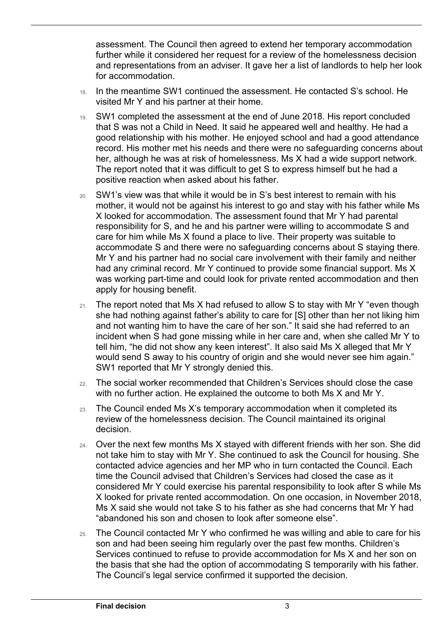assessment. The Council then agreed to extend her temporary accommodation further while it considered her request for a review of the homelessness decision and representations from an adviser. It gave her a list of landlords to help her look for accommodation.

- 18. In the meantime SW1 continued the assessment. He contacted S's school. He visited Mr Y and his partner at their home.
- her, although he was at risk of homelessness. Ms X had a wide support network. 19. SW1 completed the assessment at the end of June 2018. His report concluded that S was not a Child in Need. It said he appeared well and healthy. He had a good relationship with his mother. He enjoyed school and had a good attendance record. His mother met his needs and there were no safeguarding concerns about The report noted that it was difficult to get S to express himself but he had a positive reaction when asked about his father.
- 20. SW1's view was that while it would be in S's best interest to remain with his mother, it would not be against his interest to go and stay with his father while Ms X looked for accommodation. The assessment found that Mr Y had parental responsibility for S, and he and his partner were willing to accommodate S and care for him while Ms X found a place to live. Their property was suitable to accommodate S and there were no safeguarding concerns about S staying there. Mr Y and his partner had no social care involvement with their family and neither had any criminal record. Mr Y continued to provide some financial support. Ms X was working part-time and could look for private rented accommodation and then apply for housing benefit.
- $21.$  The report noted that Ms X had refused to allow S to stay with Mr Y "even though she had nothing against father's ability to care for [S] other than her not liking him and not wanting him to have the care of her son." It said she had referred to an incident when S had gone missing while in her care and, when she called Mr Y to tell him, "he did not show any keen interest". It also said Ms X alleged that Mr Y would send S away to his country of origin and she would never see him again." SW1 reported that Mr Y strongly denied this.
- with no further action. He explained the outcome to both Ms X and Mr Y. 22. The social worker recommended that Children's Services should close the case
- review of the homelessness decision. The Council maintained its original 23. The Council ended Ms X's temporary accommodation when it completed its decision.
- time the Council advised that Children's Services had closed the case as it 24. Over the next few months Ms X stayed with different friends with her son. She did not take him to stay with Mr Y. She continued to ask the Council for housing. She contacted advice agencies and her MP who in turn contacted the Council. Each considered Mr Y could exercise his parental responsibility to look after S while Ms X looked for private rented accommodation. On one occasion, in November 2018, Ms X said she would not take S to his father as she had concerns that Mr Y had "abandoned his son and chosen to look after someone else".
- 25. The Council contacted Mr Y who confirmed he was willing and able to care for his son and had been seeing him regularly over the past few months. Children's Services continued to refuse to provide accommodation for Ms X and her son on the basis that she had the option of accommodating S temporarily with his father. The Council's legal service confirmed it supported the decision.

 $\overline{a}$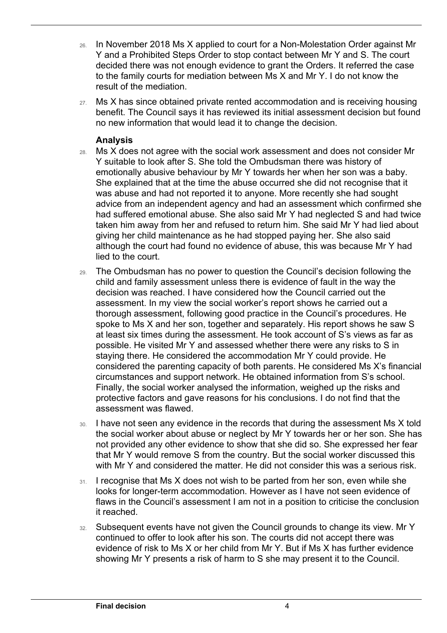- 26. In November 2018 Ms X applied to court for a Non-Molestation Order against Mr Y and a Prohibited Steps Order to stop contact between Mr Y and S. The court decided there was not enough evidence to grant the Orders. It referred the case to the family courts for mediation between Ms X and Mr Y. I do not know the result of the mediation.
- no new information that would lead it to change the decision. 27. Ms X has since obtained private rented accommodation and is receiving housing benefit. The Council says it has reviewed its initial assessment decision but found

#### **Analysis**

 $\overline{a}$ 

- Y suitable to look after S. She told the Ombudsman there was history of lied to the court. 28. Ms X does not agree with the social work assessment and does not consider Mr emotionally abusive behaviour by Mr Y towards her when her son was a baby. She explained that at the time the abuse occurred she did not recognise that it was abuse and had not reported it to anyone. More recently she had sought advice from an independent agency and had an assessment which confirmed she had suffered emotional abuse. She also said Mr Y had neglected S and had twice taken him away from her and refused to return him. She said Mr Y had lied about giving her child maintenance as he had stopped paying her. She also said although the court had found no evidence of abuse, this was because Mr Y had
- 29. The Ombudsman has no power to question the Council's decision following the possible. He visited Mr Y and assessed whether there were any risks to S in staying there. He considered the accommodation Mr Y could provide. He Finally, the social worker analysed the information, weighed up the risks and child and family assessment unless there is evidence of fault in the way the decision was reached. I have considered how the Council carried out the assessment. In my view the social worker's report shows he carried out a thorough assessment, following good practice in the Council's procedures. He spoke to Ms X and her son, together and separately. His report shows he saw S at least six times during the assessment. He took account of S's views as far as considered the parenting capacity of both parents. He considered Ms X's financial circumstances and support network. He obtained information from S's school. protective factors and gave reasons for his conclusions. I do not find that the assessment was flawed.
- not provided any other evidence to show that she did so. She expressed her fear with Mr Y and considered the matter. He did not consider this was a serious risk. 30. I have not seen any evidence in the records that during the assessment Ms X told the social worker about abuse or neglect by Mr Y towards her or her son. She has that Mr Y would remove S from the country. But the social worker discussed this
- flaws in the Council's assessment I am not in a position to criticise the conclusion  $31.$  I recognise that Ms X does not wish to be parted from her son, even while she looks for longer-term accommodation. However as I have not seen evidence of it reached.
- 32. Subsequent events have not given the Council grounds to change its view. Mr Y showing Mr Y presents a risk of harm to S she may present it to the Council. continued to offer to look after his son. The courts did not accept there was evidence of risk to Ms X or her child from Mr Y. But if Ms X has further evidence